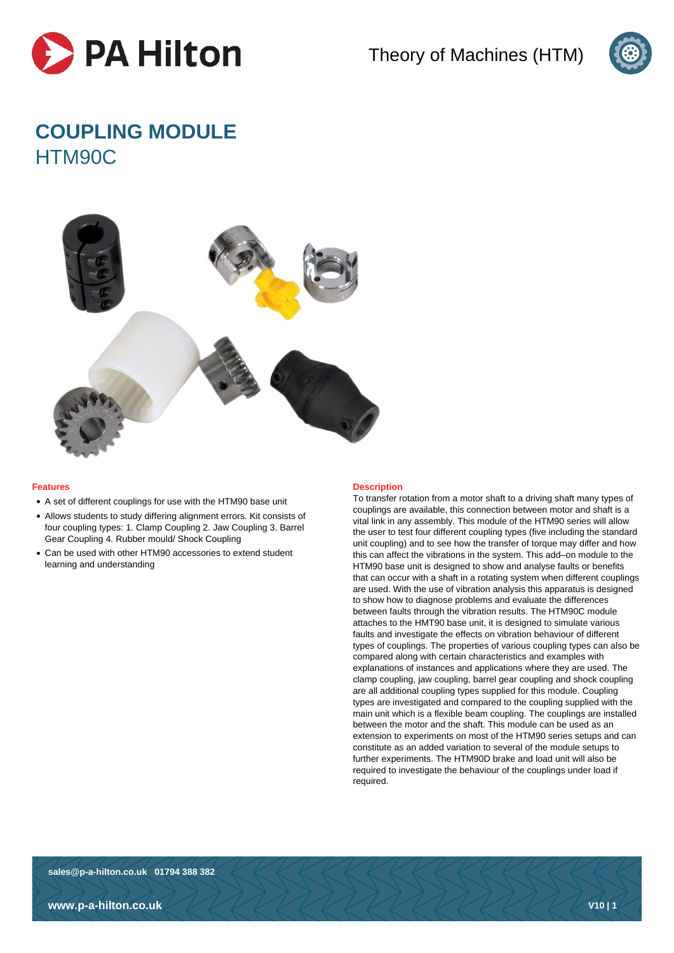



# **COUPLING MODULE** HTM90C



## **Features**

- A set of different couplings for use with the HTM90 base unit
- Allows students to study differing alignment errors. Kit consists of four coupling types: 1. Clamp Coupling 2. Jaw Coupling 3. Barrel Gear Coupling 4. Rubber mould/ Shock Coupling
- Can be used with other HTM90 accessories to extend student learning and understanding

#### **Description**

To transfer rotation from a motor shaft to a driving shaft many types of couplings are available, this connection between motor and shaft is a vital link in any assembly. This module of the HTM90 series will allow the user to test four different coupling types (five including the standard unit coupling) and to see how the transfer of torque may differ and how this can affect the vibrations in the system. This add–on module to the HTM90 base unit is designed to show and analyse faults or benefits that can occur with a shaft in a rotating system when different couplings are used. With the use of vibration analysis this apparatus is designed to show how to diagnose problems and evaluate the differences between faults through the vibration results. The HTM90C module attaches to the HMT90 base unit, it is designed to simulate various faults and investigate the effects on vibration behaviour of different types of couplings. The properties of various coupling types can also be compared along with certain characteristics and examples with explanations of instances and applications where they are used. The clamp coupling, jaw coupling, barrel gear coupling and shock coupling are all additional coupling types supplied for this module. Coupling types are investigated and compared to the coupling supplied with the main unit which is a flexible beam coupling. The couplings are installed between the motor and the shaft. This module can be used as an extension to experiments on most of the HTM90 series setups and can constitute as an added variation to several of the module setups to further experiments. The HTM90D brake and load unit will also be required to investigate the behaviour of the couplings under load if required.